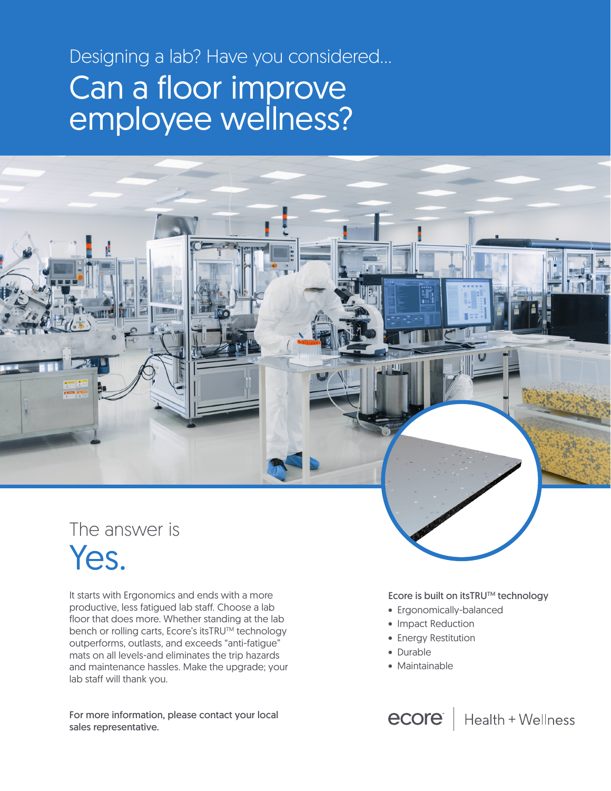# Designing a lab? Have you considered... Can a floor improve employee wellness?



# Yes.

It starts with Ergonomics and ends with a more productive, less fatigued lab staff. Choose a lab floor that does more. Whether standing at the lab bench or rolling carts, Ecore's itsTRU™ technology outperforms, outlasts, and exceeds "anti-fatigue" mats on all levels-and eliminates the trip hazards and maintenance hassles. Make the upgrade; your lab staff will thank you.

For more information, please contact your local sales representative.

Ecore is built on itsTRU™ technology

- Ergonomically-balanced
- Impact Reduction
- Energy Restitution
- Durable
- Maintainable

**ecore** | Health + Wellness